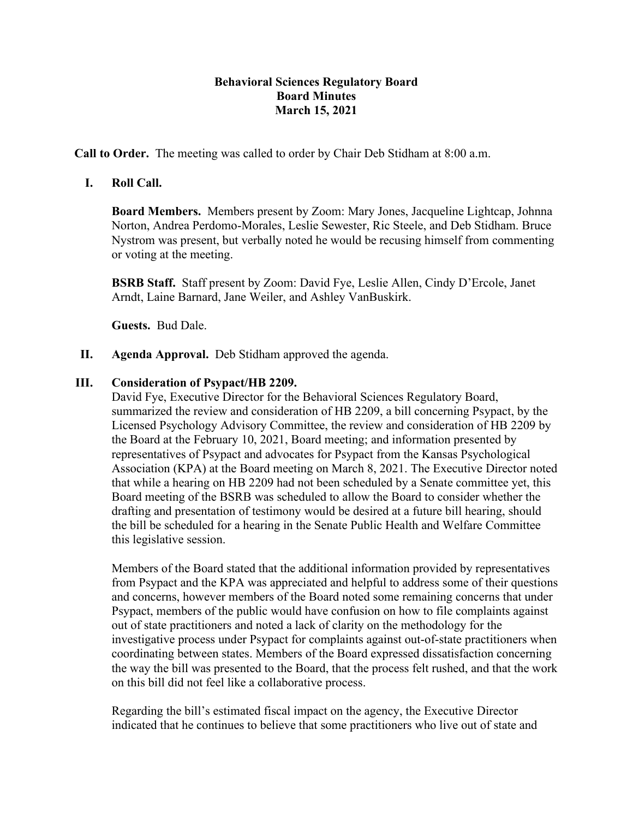## **Behavioral Sciences Regulatory Board Board Minutes March 15, 2021**

**Call to Order.** The meeting was called to order by Chair Deb Stidham at 8:00 a.m.

## **I. Roll Call.**

**Board Members.** Members present by Zoom: Mary Jones, Jacqueline Lightcap, Johnna Norton, Andrea Perdomo-Morales, Leslie Sewester, Ric Steele, and Deb Stidham. Bruce Nystrom was present, but verbally noted he would be recusing himself from commenting or voting at the meeting.

**BSRB Staff.** Staff present by Zoom: David Fye, Leslie Allen, Cindy D'Ercole, Janet Arndt, Laine Barnard, Jane Weiler, and Ashley VanBuskirk.

**Guests.** Bud Dale.

**II. Agenda Approval.** Deb Stidham approved the agenda.

## **III. Consideration of Psypact/HB 2209.**

David Fye, Executive Director for the Behavioral Sciences Regulatory Board, summarized the review and consideration of HB 2209, a bill concerning Psypact, by the Licensed Psychology Advisory Committee, the review and consideration of HB 2209 by the Board at the February 10, 2021, Board meeting; and information presented by representatives of Psypact and advocates for Psypact from the Kansas Psychological Association (KPA) at the Board meeting on March 8, 2021. The Executive Director noted that while a hearing on HB 2209 had not been scheduled by a Senate committee yet, this Board meeting of the BSRB was scheduled to allow the Board to consider whether the drafting and presentation of testimony would be desired at a future bill hearing, should the bill be scheduled for a hearing in the Senate Public Health and Welfare Committee this legislative session.

Members of the Board stated that the additional information provided by representatives from Psypact and the KPA was appreciated and helpful to address some of their questions and concerns, however members of the Board noted some remaining concerns that under Psypact, members of the public would have confusion on how to file complaints against out of state practitioners and noted a lack of clarity on the methodology for the investigative process under Psypact for complaints against out-of-state practitioners when coordinating between states. Members of the Board expressed dissatisfaction concerning the way the bill was presented to the Board, that the process felt rushed, and that the work on this bill did not feel like a collaborative process.

Regarding the bill's estimated fiscal impact on the agency, the Executive Director indicated that he continues to believe that some practitioners who live out of state and